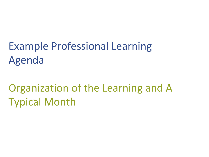# Example Professional Learning Agenda

## Organization of the Learning and A Typical Month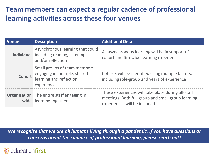### **Team members can expect a regular cadence of professional learning activities across these four venues**

| <b>Venue</b>      | <b>Description</b>                                                                                     | <b>Additional Details</b>                                                                                                                |
|-------------------|--------------------------------------------------------------------------------------------------------|------------------------------------------------------------------------------------------------------------------------------------------|
| <b>Individual</b> | Asynchronous learning that could<br>including reading, listening<br>and/or reflection                  | All asynchronous learning will be in support of<br>cohort and firmwide learning experiences                                              |
| Cohort            | Small groups of team members<br>engaging in multiple, shared<br>learning and reflection<br>experiences | Cohorts will be identified using multiple factors,<br>including role-group and years of experience                                       |
|                   | <b>Organization</b> The entire staff engaging in<br>-wide learning together                            | These experiences will take place during all-staff<br>meetings. Both full group and small group learning<br>experiences will be included |

*We recognize that we are all humans living through a pandemic. If you have questions or concerns about the cadence of professional learning, please reach out!*

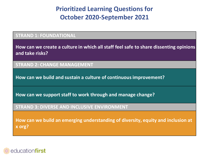### **Prioritized Learning Questions for October 2020-September 2021**

#### **STRAND 1: FOUNDATIONAL**

**How can we create a culture in which all staff feel safe to share dissenting opinions and take risks?**

#### **STRAND 2: CHANGE MANAGEMENT**

**How can we build and sustain a culture of continuous improvement?**

**How can we support staff to work through and manage change?**

#### **STRAND 3: DIVERSE AND INCLUSIVE ENVIRONMENT**

**How can we build an emerging understanding of diversity, equity and inclusion at x org?**

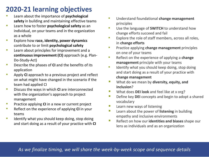## **2020-21 learning objectives**<br>**•** Learn about the importance of **psychological**

- **safety** in building and maintaining effective teams
- Learn how to foster **psychological safety** as an individual, on your teams and in the organization as a whole
- Explore how **race, identity, power dynamics**  contribute to or limit **psychological safety**
- **EXEC** Learn about principles for improvement and a **continuous improvement (CI)** approach (e.g. Plan-Do-Study-Act)
- **EXP** Describe the phases of **CI** and the benefits of its application
- **EXPLO Apply CI** approach to a previous project and reflect on what might have changed in the scenario if the team had applied CI
- **EXECUTE:** Discuss the ways in which **CI** are interconnected with the organization's approach to project management
- **Practice applying CI in a new or current project**
- Reflect on the experience of applying **CI** in your teams
- **E** Identify what you should keep doing, stop doing and start doing as a result of your practice with **CI**
- Understand foundational **change management**  principles
- **EXECUTE:** Use the language of **SWITCH** to understand how change efforts succeed and fail
- Explore the role of staff members, across all roles, in **change efforts**
- **EXECUTE:** Practice applying **change management** principles on one of your teams
- Reflect on the experience of applying a **change management** principle with your teams
- Identify what you should keep doing, stop doing and start doing as a result of your practice with **change management**
- **What do we mean by diversity, equity, and inclusion**?
- **What does DEI look** and feel like at x org?
- **Define key DEI** concepts and begin to adopt a shared vocabulary
- **Learn new ways of listening**
- **Learn about the power of listening** in building empathy and inclusive environments
- **Reflect on how our identities and biases** shape our lens as individuals and as an organization

*As we finalize timing, we will share the week-by-week scope and sequence details*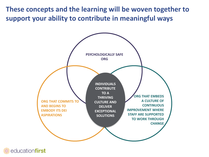**These concepts and the learning will be woven together to support your ability to contribute in meaningful ways**



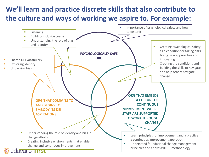## **We'll learn and practice discrete skills that also contribute to the culture and ways of working we aspire to. For example:**